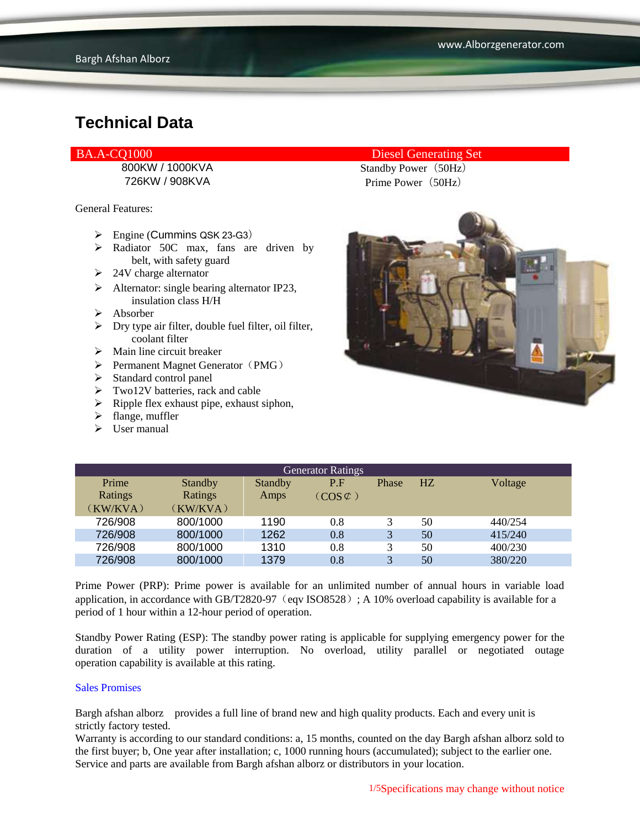General Features:

- $\triangleright$  Engine (Cummins QSK 23-G3)
- > Radiator 50C max, fans are driven by belt, with safety guard
- $\geq 24V$  charge alternator
- $\triangleright$  Alternator: single bearing alternator IP23, insulation class H/H
- $\triangleright$  Absorber
- $\triangleright$  Dry type air filter, double fuel filter, oil filter, coolant filter
- $\triangleright$  Main line circuit breaker
- $\triangleright$  Permanent Magnet Generator (PMG)
- $\triangleright$  Standard control panel
- > Two12V batteries, rack and cable
- $\triangleright$  Ripple flex exhaust pipe, exhaust siphon,
- $\triangleright$  flange, muffler
- $\triangleright$  User manual

#### BA.A-CQ1000 Diesel Generating Set

800KW / 1000KVA Standby Power (50Hz) 726KW / 908KVA Prime Power(50Hz)



| <b>Generator Ratings</b> |                |                |                     |       |    |         |
|--------------------------|----------------|----------------|---------------------|-------|----|---------|
| Prime                    | <b>Standby</b> | <b>Standby</b> | P.F                 | Phase | HZ | Voltage |
| Ratings                  | Ratings        | Amps           | $(COS \mathcal{L})$ |       |    |         |
| (KW/KVA)                 | (KW/KVA)       |                |                     |       |    |         |
| 726/908                  | 800/1000       | 1190           | 0.8                 | 3     | 50 | 440/254 |
| 726/908                  | 800/1000       | 1262           | 0.8                 | 3     | 50 | 415/240 |
| 726/908                  | 800/1000       | 1310           | 0.8                 | 3     | 50 | 400/230 |
| 726/908                  | 800/1000       | 1379           | $0.8\,$             | 3     | 50 | 380/220 |

Prime Power (PRP): Prime power is available for an unlimited number of annual hours in variable load application, in accordance with GB/T2820-97 (eqv ISO8528); A 10% overload capability is available for a period of 1 hour within a 12-hour period of operation.

Standby Power Rating (ESP): The standby power rating is applicable for supplying emergency power for the duration of a utility power interruption. No overload, utility parallel or negotiated outage operation capability is available at this rating.

#### Sales Promises

Bargh afshan alborz provides a full line of brand new and high quality products. Each and every unit is strictly factory tested.

Warranty is according to our standard conditions: a, 15 months, counted on the day Bargh afshan alborz sold to the first buyer; b, One year after installation; c, 1000 running hours (accumulated); subject to the earlier one. Service and parts are available from Bargh afshan alborz or distributors in your location.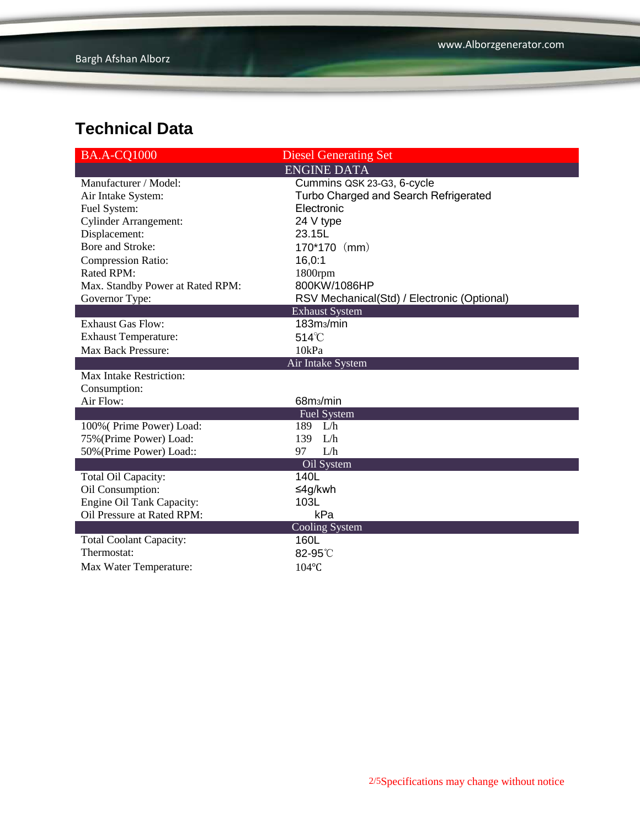| <b>BA.A-CQ1000</b>                            | <b>Diesel Generating Set</b>                |  |  |
|-----------------------------------------------|---------------------------------------------|--|--|
|                                               | <b>ENGINE DATA</b>                          |  |  |
| Manufacturer / Model:                         | Cummins QSK 23-G3, 6-cycle                  |  |  |
| Air Intake System:                            | Turbo Charged and Search Refrigerated       |  |  |
| Fuel System:                                  | Electronic                                  |  |  |
| <b>Cylinder Arrangement:</b>                  | 24 V type                                   |  |  |
| Displacement:                                 | 23.15L                                      |  |  |
| Bore and Stroke:                              | 170*170 (mm)                                |  |  |
| <b>Compression Ratio:</b>                     | 16,0:1                                      |  |  |
| Rated RPM:                                    | 1800rpm                                     |  |  |
| Max. Standby Power at Rated RPM:              | 800KW/1086HP                                |  |  |
| Governor Type:                                | RSV Mechanical(Std) / Electronic (Optional) |  |  |
|                                               | <b>Exhaust System</b>                       |  |  |
| <b>Exhaust Gas Flow:</b>                      | 183m <sub>3</sub> /min                      |  |  |
| <b>Exhaust Temperature:</b>                   | 514°C                                       |  |  |
| Max Back Pressure:                            | 10kPa                                       |  |  |
|                                               | Air Intake System                           |  |  |
| Max Intake Restriction:                       |                                             |  |  |
| Consumption:                                  |                                             |  |  |
| Air Flow:                                     | 68m <sub>3</sub> /min                       |  |  |
|                                               | <b>Fuel System</b>                          |  |  |
| 100% (Prime Power) Load:                      | 189 L/h                                     |  |  |
| 75% (Prime Power) Load:                       | 139 L/h                                     |  |  |
| 50% (Prime Power) Load::                      | L/h<br>97                                   |  |  |
|                                               | Oil System                                  |  |  |
| Total Oil Capacity:                           | 140L                                        |  |  |
| Oil Consumption:                              | ≤4g/kwh                                     |  |  |
| Engine Oil Tank Capacity:                     | 103L                                        |  |  |
| Oil Pressure at Rated RPM:                    | kPa                                         |  |  |
|                                               | Cooling System<br>160L                      |  |  |
| <b>Total Coolant Capacity:</b><br>Thermostat: |                                             |  |  |
|                                               | 82-95°C                                     |  |  |
| Max Water Temperature:                        | 104°C                                       |  |  |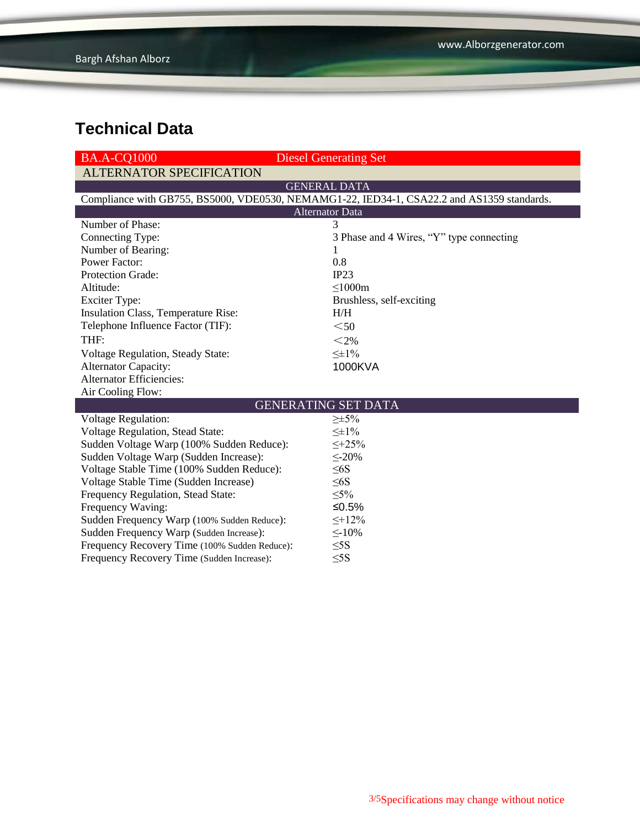| <b>BA.A-CO1000</b>                            | <b>Diesel Generating Set</b>                                                               |  |  |  |
|-----------------------------------------------|--------------------------------------------------------------------------------------------|--|--|--|
| <b>ALTERNATOR SPECIFICATION</b>               |                                                                                            |  |  |  |
|                                               | <b>GENERAL DATA</b>                                                                        |  |  |  |
|                                               | Compliance with GB755, BS5000, VDE0530, NEMAMG1-22, IED34-1, CSA22.2 and AS1359 standards. |  |  |  |
| <b>Alternator Data</b>                        |                                                                                            |  |  |  |
| Number of Phase:                              | 3                                                                                          |  |  |  |
| Connecting Type:                              | 3 Phase and 4 Wires, "Y" type connecting                                                   |  |  |  |
| Number of Bearing:                            | 1                                                                                          |  |  |  |
| <b>Power Factor:</b>                          | 0.8                                                                                        |  |  |  |
| Protection Grade:                             | IP23                                                                                       |  |  |  |
| Altitude:                                     | $\leq 1000m$                                                                               |  |  |  |
| <b>Exciter Type:</b>                          | Brushless, self-exciting                                                                   |  |  |  |
| Insulation Class, Temperature Rise:           | H/H                                                                                        |  |  |  |
| Telephone Influence Factor (TIF):             | $50$                                                                                       |  |  |  |
| THF:                                          | $<$ 2%                                                                                     |  |  |  |
| <b>Voltage Regulation, Steady State:</b>      | $\leq \pm 1\%$                                                                             |  |  |  |
| <b>Alternator Capacity:</b>                   | 1000KVA                                                                                    |  |  |  |
| <b>Alternator Efficiencies:</b>               |                                                                                            |  |  |  |
| Air Cooling Flow:                             |                                                                                            |  |  |  |
|                                               | <b>GENERATING SET DATA</b>                                                                 |  |  |  |
| <b>Voltage Regulation:</b>                    | $\geq \pm 5\%$                                                                             |  |  |  |
| Voltage Regulation, Stead State:              | $\leq \pm 1\%$                                                                             |  |  |  |
| Sudden Voltage Warp (100% Sudden Reduce):     | $\leq +25\%$                                                                               |  |  |  |
| Sudden Voltage Warp (Sudden Increase):        | $\leq$ -20%                                                                                |  |  |  |
| Voltage Stable Time (100% Sudden Reduce):     | $\leq 6S$                                                                                  |  |  |  |
| Voltage Stable Time (Sudden Increase)         | $\leq 6S$                                                                                  |  |  |  |
| Frequency Regulation, Stead State:            | $\leq 5\%$                                                                                 |  |  |  |
| Frequency Waving:                             | ≤0.5%                                                                                      |  |  |  |
| Sudden Frequency Warp (100% Sudden Reduce):   | $\leq +12\%$                                                                               |  |  |  |
| Sudden Frequency Warp (Sudden Increase):      | $\leq$ -10%                                                                                |  |  |  |
| Frequency Recovery Time (100% Sudden Reduce): | $\leq$ 5S                                                                                  |  |  |  |
| Frequency Recovery Time (Sudden Increase):    | $\leq$ 5S                                                                                  |  |  |  |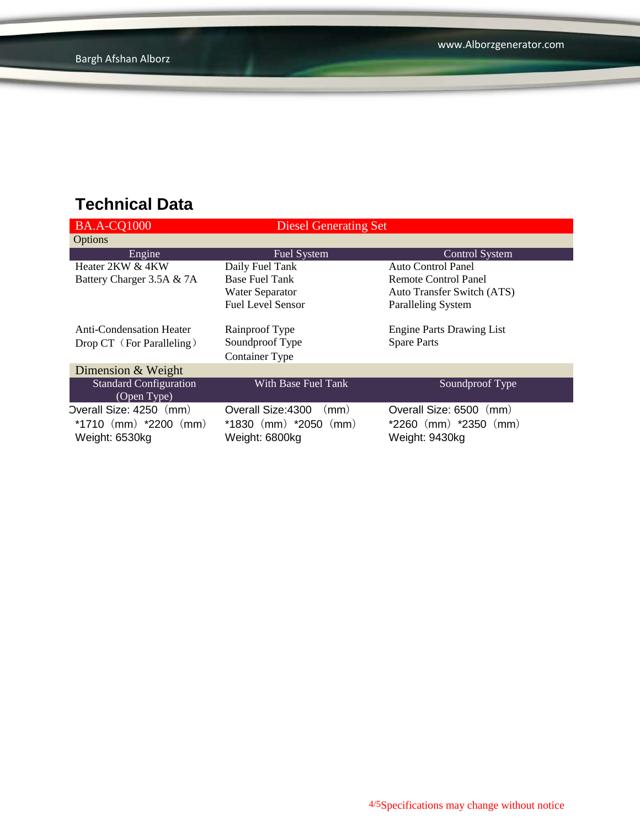| <b>BA.A-CQ1000</b>              | <b>Diesel Generating Set</b>          |                                  |
|---------------------------------|---------------------------------------|----------------------------------|
| Options                         |                                       |                                  |
| Engine                          | Fuel System                           | <b>Control System</b>            |
| Heater 2KW & 4KW                | Daily Fuel Tank                       | Auto Control Panel               |
| Battery Charger 3.5A & 7A       | <b>Base Fuel Tank</b>                 | Remote Control Panel             |
|                                 | <b>Water Separator</b>                | Auto Transfer Switch (ATS)       |
|                                 | <b>Fuel Level Sensor</b>              | <b>Paralleling System</b>        |
|                                 |                                       |                                  |
| <b>Anti-Condensation Heater</b> | Rainproof Type                        | <b>Engine Parts Drawing List</b> |
| Drop CT (For Paralleling)       | Soundproof Type                       | <b>Spare Parts</b>               |
|                                 | <b>Container Type</b>                 |                                  |
| Dimension & Weight              |                                       |                                  |
| <b>Standard Configuration</b>   | With Base Fuel Tank                   | Soundproof Type                  |
| (Open Type)                     |                                       |                                  |
| Overall Size: 4250 (mm)         | Overall Size: 4300<br>$\mathsf{(mm)}$ | Overall Size: 6500<br>(mm)       |
| *1710 $(mm)$ *2200 $(mm)$       | $*1830$ (mm) $*2050$ (mm)             | $*2260$ (mm) $*2350$ (mm)        |
| Weight: 6530kg                  | Weight: 6800kg                        | Weight: 9430kg                   |